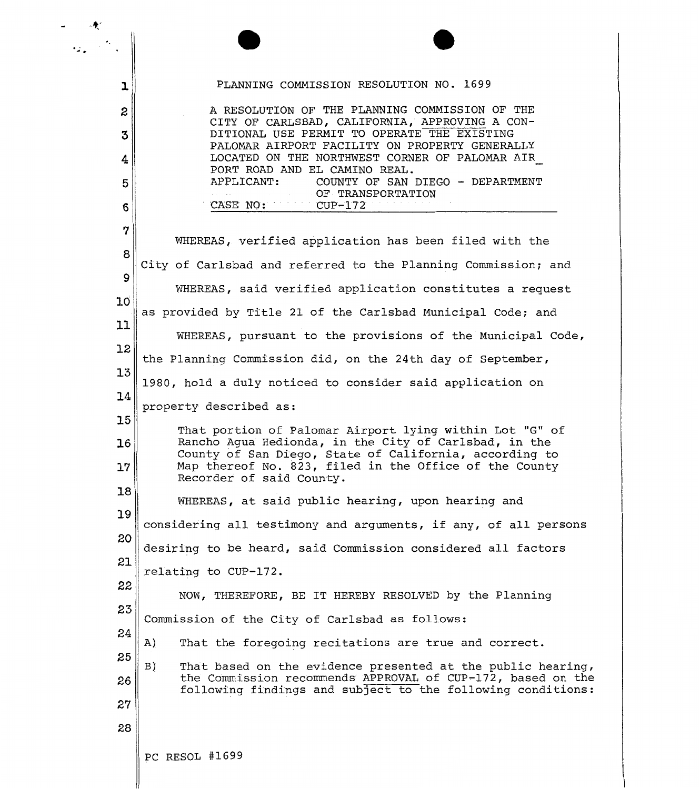| ı               | PLANNING COMMISSION RESOLUTION NO. 1699                                                                                    |
|-----------------|----------------------------------------------------------------------------------------------------------------------------|
| 2               | A RESOLUTION OF THE PLANNING COMMISSION OF THE                                                                             |
| 3               | CITY OF CARLSBAD, CALIFORNIA, APPROVING A CON-<br>DITIONAL USE PERMIT TO OPERATE THE EXISTING                              |
| 4               | PALOMAR AIRPORT FACILITY ON PROPERTY GENERALLY<br>LOCATED ON THE NORTHWEST CORNER OF PALOMAR AIR                           |
| 5               | PORT ROAD AND EL CAMINO REAL.<br>APPLICANT:<br>COUNTY OF SAN DIEGO - DEPARTMENT                                            |
| 6               | OF TRANSPORTATION<br>CASE NO:<br>$CUP-172$                                                                                 |
| 7               |                                                                                                                            |
|                 | WHEREAS, verified application has been filed with the                                                                      |
| 8               | City of Carlsbad and referred to the Planning Commission; and                                                              |
| 9               | WHEREAS, said verified application constitutes a request                                                                   |
| 10 <sup>°</sup> | as provided by Title 21 of the Carlsbad Municipal Code; and                                                                |
| 11              | WHEREAS, pursuant to the provisions of the Municipal Code,                                                                 |
| 12              | the Planning Commission did, on the 24th day of September,                                                                 |
| 13              | 1980, hold a duly noticed to consider said application on                                                                  |
| 14              | property described as:                                                                                                     |
| 15              | That portion of Palomar Airport lying within Lot "G" of                                                                    |
| 16              | Rancho Aqua Hedionda, in the City of Carlsbad, in the<br>County of San Diego, State of California, according to            |
| 17              | Map thereof No. 823, filed in the Office of the County<br>Recorder of said County.                                         |
| 18              | WHEREAS, at said public hearing, upon hearing and                                                                          |
| 19              | considering all testimony and arguments, if any, of all persons                                                            |
| 20              | desiring to be heard, said Commission considered all factors                                                               |
| 21              | relating to CUP-172.                                                                                                       |
| 22              | NOW, THEREFORE, BE IT HEREBY RESOLVED by the Planning                                                                      |
| 23              | Commission of the City of Carlsbad as follows:                                                                             |
| 24              | That the foregoing recitations are true and correct.<br>A)                                                                 |
| 25              | That based on the evidence presented at the public hearing,<br>B)                                                          |
| 26              | the Commission recommends APPROVAL of CUP-172, based on the<br>following findings and subject to the following conditions: |
| 27              |                                                                                                                            |
| 28              |                                                                                                                            |
|                 | PC RESOL #1699                                                                                                             |
|                 |                                                                                                                            |

咦"

 $\overline{a}$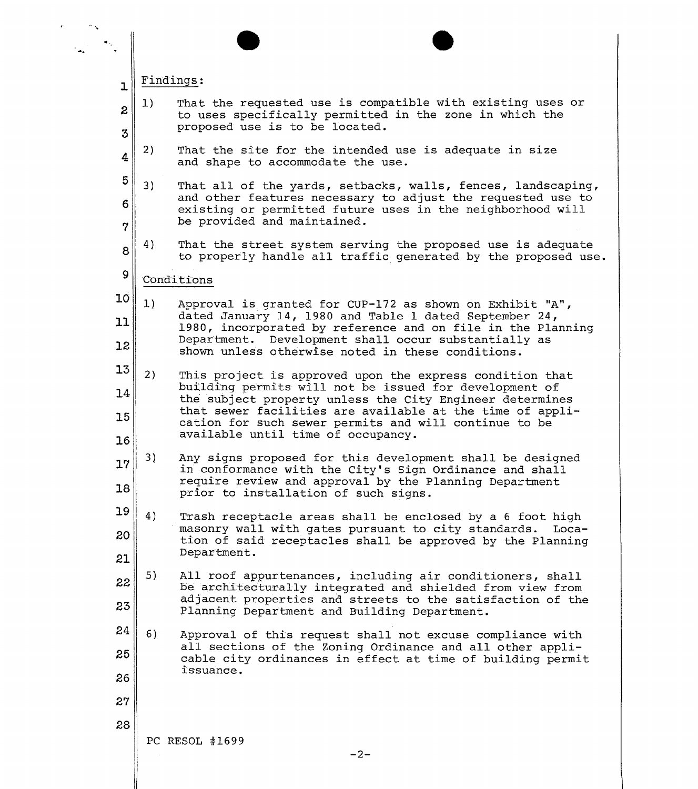|                 | Findings:                                                                                                                                                                                                                      |
|-----------------|--------------------------------------------------------------------------------------------------------------------------------------------------------------------------------------------------------------------------------|
| ı<br>2<br>3     | That the requested use is compatible with existing uses or<br>$\vert 1 \rangle$<br>to uses specifically permitted in the zone in which the<br>proposed use is to be located.                                                   |
| 4               | 2)<br>That the site for the intended use is adequate in size<br>and shape to accommodate the use.                                                                                                                              |
| 5<br>6<br>7     | 3)<br>That all of the yards, setbacks, walls, fences, landscaping,<br>and other features necessary to adjust the requested use to<br>existing or permitted future uses in the neighborhood will<br>be provided and maintained. |
| 8               | 4)<br>That the street system serving the proposed use is adequate<br>to properly handle all traffic generated by the proposed use.                                                                                             |
| 9               | Conditions                                                                                                                                                                                                                     |
| 10 <sup>°</sup> | 1)<br>Approval is granted for CUP-172 as shown on Exhibit "A",                                                                                                                                                                 |
| 11              | dated January 14, 1980 and Table 1 dated September 24,<br>1980, incorporated by reference and on file in the Planning                                                                                                          |
| 12              | Department. Development shall occur substantially as<br>shown unless otherwise noted in these conditions.                                                                                                                      |
| 13              | 2)<br>This project is approved upon the express condition that                                                                                                                                                                 |
| 14              | building permits will not be issued for development of<br>the subject property unless the City Engineer determines                                                                                                             |
| 15<br>16        | that sewer facilities are available at the time of appli-<br>cation for such sewer permits and will continue to be<br>available until time of occupancy.                                                                       |
| 17              | 3)<br>Any signs proposed for this development shall be designed<br>in conformance with the City's Sign Ordinance and shall                                                                                                     |
| 18              | require review and approval by the Planning Department<br>prior to installation of such signs.                                                                                                                                 |
| 19              | 4)<br>Trash receptacle areas shall be enclosed by a 6 foot high                                                                                                                                                                |
| 20              | masonry wall with gates pursuant to city standards.<br>Loca-<br>tion of said receptacles shall be approved by the Planning                                                                                                     |
| 21              | Department.                                                                                                                                                                                                                    |
| 22              | 5)<br>All roof appurtenances, including air conditioners, shall<br>be architecturally integrated and shielded from view from                                                                                                   |
| 23              | adjacent properties and streets to the satisfaction of the<br>Planning Department and Building Department.                                                                                                                     |
| 24              | 6)<br>Approval of this request shall not excuse compliance with                                                                                                                                                                |
| 25              | all sections of the Zoning Ordinance and all other appli-<br>cable city ordinances in effect at time of building permit                                                                                                        |
| 26              | issuance.                                                                                                                                                                                                                      |
| 27              |                                                                                                                                                                                                                                |
| 28              |                                                                                                                                                                                                                                |
|                 | PC RESOL #1699<br>$-2-$                                                                                                                                                                                                        |
|                 |                                                                                                                                                                                                                                |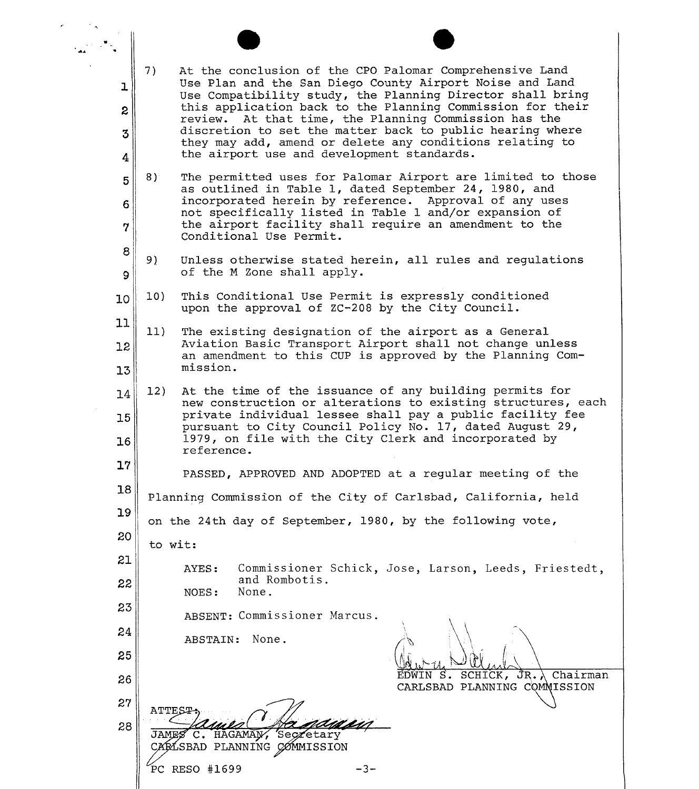| ı        | 7)<br>At the conclusion of the CPO Palomar Comprehensive Land<br>Use Plan and the San Diego County Airport Noise and Land                                                                                                                                                                                        |
|----------|------------------------------------------------------------------------------------------------------------------------------------------------------------------------------------------------------------------------------------------------------------------------------------------------------------------|
| 2<br>3   | Use Compatibility study, the Planning Director shall bring<br>this application back to the Planning Commission for their<br>review. At that time, the Planning Commission has the<br>discretion to set the matter back to public hearing where                                                                   |
| 4        | they may add, amend or delete any conditions relating to<br>the airport use and development standards.                                                                                                                                                                                                           |
| 5        | 8)<br>The permitted uses for Palomar Airport are limited to those<br>as outlined in Table 1, dated September 24, 1980, and<br>incorporated herein by reference. Approval of any uses                                                                                                                             |
| 6<br>7   | not specifically listed in Table 1 and/or expansion of<br>the airport facility shall require an amendment to the<br>Conditional Use Permit.                                                                                                                                                                      |
| 8<br>9   | 9)<br>Unless otherwise stated herein, all rules and regulations<br>of the M Zone shall apply.                                                                                                                                                                                                                    |
| 10       | 10)<br>This Conditional Use Permit is expressly conditioned<br>upon the approval of ZC-208 by the City Council.                                                                                                                                                                                                  |
| 11<br>12 | 11)<br>The existing designation of the airport as a General<br>Aviation Basic Transport Airport shall not change unless                                                                                                                                                                                          |
| 13       | an amendment to this CUP is approved by the Planning Com-<br>mission.                                                                                                                                                                                                                                            |
| 14<br>15 | At the time of the issuance of any building permits for<br>12)<br>new construction or alterations to existing structures, each<br>private individual lessee shall pay a public facility fee<br>pursuant to City Council Policy No. 17, dated August 29,<br>1979, on file with the City Clerk and incorporated by |
| 16<br>17 | reference.                                                                                                                                                                                                                                                                                                       |
| 18       | PASSED, APPROVED AND ADOPTED at a regular meeting of the<br>Planning Commission of the City of Carlsbad, California, held                                                                                                                                                                                        |
| 19       | on the 24th day of September, 1980, by the following vote,                                                                                                                                                                                                                                                       |
| 20<br>21 | to wit:                                                                                                                                                                                                                                                                                                          |
| 22       | Commissioner Schick, Jose, Larson, Leeds, Friestedt,<br>AYES:<br>and Rombotis.<br>None.<br>NOES:                                                                                                                                                                                                                 |
| 23       | ABSENT: Commissioner Marcus.                                                                                                                                                                                                                                                                                     |
| 24<br>25 | None.<br>ABSTAIN:                                                                                                                                                                                                                                                                                                |
| 26       | $\overline{J}R. \lambda$ Chairman<br>SCHICK,<br>s.<br>CARLSBAD PLANNING COMMISSION                                                                                                                                                                                                                               |
| 27       |                                                                                                                                                                                                                                                                                                                  |
| 28       | HAGAMAN<br>Seczetary<br>$\mathbf{C}$ .<br>JAME<br>CARLSBAD PLANNING COMMISSION                                                                                                                                                                                                                                   |
|          | PC RESO #1699<br>-3-                                                                                                                                                                                                                                                                                             |

 $\epsilon$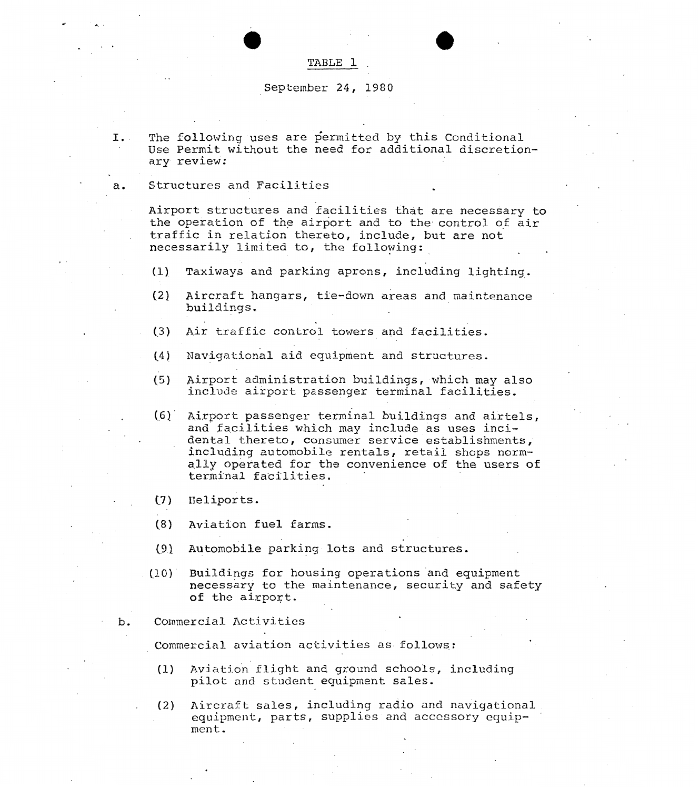## TABLE 1

## September 24, 1980

.. *0 0* 

- I. The following uses are permitted by this Conditional Use Permit without the need for additional discretionary review:
- a. Structures and Facilities

..

*<sup>w</sup>*.-.

Airport structures and facilities that are necessary to the operation of the airport and to the control of air traffic in relation thereto, include, but are not necessarily limited to, the following:

- **(1)** Taxiways and parking aprons, including lighting.
- (2) Aircraft hangars, tie-down areas and maintenance buildings.
- **(3)** Air traffic control towers and facilities.
- (4) Navigational aid equipment and structures.
- (5) Airport administration buildings, which may **also**  include airport passenger terminal facilities.
- *(,6]* ' Airport passenger terminal buildings and airtels, and' facilities which may include **as** uses incidental thereto, consumer service establishments; including automobile rentals, retail shops normally operated for the convenience of the users of terminal facilities.
- (7) Heliports.
- **(8)** Aviation fuel farms.
- *(.9)* **Automobile** parking. **lots** and structures.
- (lo) Buildings for housing operations 'and equipment necessary to the maintenance, security and safety of the airport.
- b. Commercial Activities

Commercial aviation activities as follows:

- (1) Aviation flight and ground schools, including pilot and student equiprnent sales.
- . (2) Aircraft sales, including radio and navigational equipment, parts, supplies and accessory equip-<br>ment.